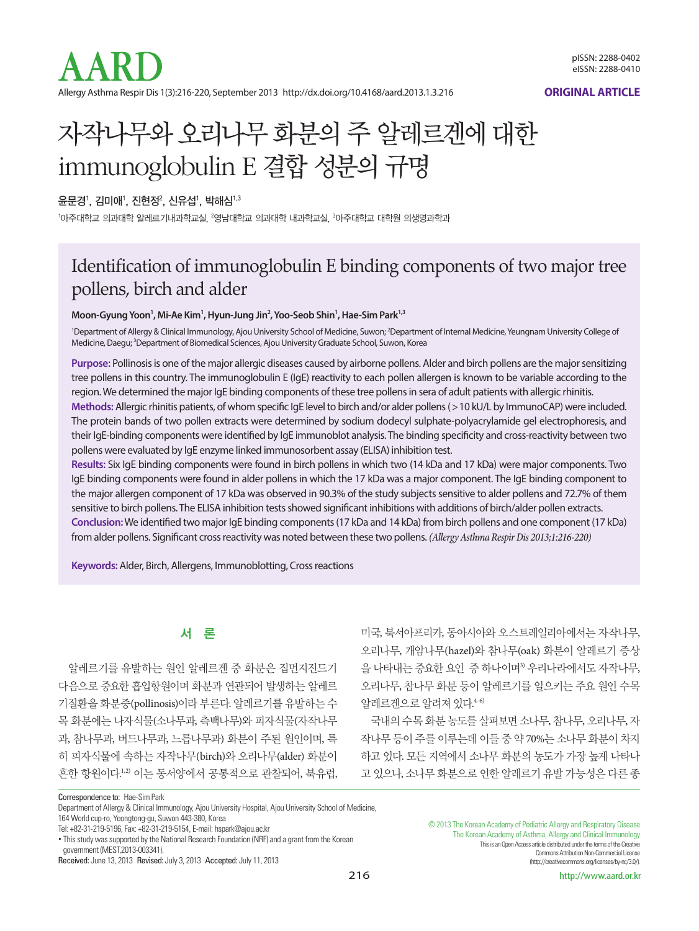

**ORIGINAL ARTICLE**

# 자작나무와 오리나무 화분의 주 알레르겐에 대한 immunoglobulin E 결합 성분의 규명

윤문경', 김미애', 진현정 $^{\rm 2}$ , 신유섭', 박해심 $^{\rm 1,3}$ 

'아주대학교 의과대학 알레르기내과학교실, <sup>2</sup>영남대학교 의과대학 내과학교실, <sup>3</sup>아주대학교 대학원 의생명과학과

### Identification of immunoglobulin E binding components of two major tree pollens, birch and alder

**Moon-Gyung Yoon1 , Mi-Ae Kim1 , Hyun-Jung Jin2 , Yoo-Seob Shin1 , Hae-Sim Park1,3**

<sup>1</sup>Department of Allergy & Clinical Immunology, Ajou University School of Medicine, Suwon; <sup>2</sup>Department of Internal Medicine, Yeungnam University College of Medicine, Daegu; <sup>3</sup>Department of Biomedical Sciences, Ajou University Graduate School, Suwon, Korea

**Purpose:** Pollinosis is one of the major allergic diseases caused by airborne pollens. Alder and birch pollens are the major sensitizing tree pollens in this country. The immunoglobulin E (IgE) reactivity to each pollen allergen is known to be variable according to the region. We determined the major IgE binding components of these tree pollens in sera of adult patients with allergic rhinitis. **Methods:** Allergic rhinitis patients, of whom specific IgE level to birch and/or alder pollens (>10 kU/L by ImmunoCAP) were included. The protein bands of two pollen extracts were determined by sodium dodecyl sulphate-polyacrylamide gel electrophoresis, and their IgE-binding components were identified by IgE immunoblot analysis. The binding specificity and cross-reactivity between two pollens were evaluated by IgE enzyme linked immunosorbent assay (ELISA) inhibition test.

**Results:** Six IgE binding components were found in birch pollens in which two (14 kDa and 17 kDa) were major components. Two IgE binding components were found in alder pollens in which the 17 kDa was a major component. The IgE binding component to the major allergen component of 17 kDa was observed in 90.3% of the study subjects sensitive to alder pollens and 72.7% of them sensitive to birch pollens. The ELISA inhibition tests showed significant inhibitions with additions of birch/alder pollen extracts. **Conclusion:** We identified two major IgE binding components (17 kDa and 14 kDa) from birch pollens and one component (17 kDa) from alder pollens. Significant cross reactivity was noted between these two pollens. *(Allergy Asthma Respir Dis 2013;1:216-220)*

**Keywords:** Alder, Birch, Allergens, Immunoblotting, Cross reactions

### 서 론

알레르기를 유발하는 원인 알레르겐 중 화분은 집먼지진드기 다음으로 중요한 흡입항원이며 화분과 연관되어 발생하는 알레르 기질환을 화분증(pollinosis)이라 부른다. 알레르기를 유발하는 수 목 화분에는 나자식물(소나무과, 측백나무)와 피자식물(자작나무 과, 참나무과, 버드나무과, 느릅나무과) 화분이 주된 원인이며, 특 히 피자식물에 속하는 자작나무(birch)와 오리나무(alder) 화분이 흔한 항원이다. 1,2) 이는 동서양에서 공통적으로 관찰되어, 북유럽,

미국, 북서아프리카, 동아시아와 오스트레일리아에서는 자작나무, 오리나무, 개암나무(hazel)와 참나무(oak) 화분이 알레르기 증상 을 나타내는 중요한 요인 중 하나이며3) 우리나라에서도 자작나무, 오리나무, 참나무 화분 등이 알레르기를 일으키는 주요 원인 수목 알레르겐으로알려져있다. 4-6)

국내의 수목 화분 농도를 살펴보면 소나무, 참나무, 오리나무, 자 작나무 등이 주를 이루는데 이들 중 약 70%는 소나무 화분이 차지 하고 있다. 모든 지역에서 소나무 화분의 농도가 가장 높게 나타나 고 있으나, 소나무 화분으로 인한 알레르기 유발 가능성은 다른 종

Correspondence to: Hae-Sim Park

164 World cup-ro, Yeongtong-gu, Suwon 443-380, Korea

Department of Allergy & Clinical Immunology, Ajou University Hospital, Ajou University School of Medicine,

Tel: +82-31-219-5196, Fax: +82-31-219-5154, E-mail: hspark@ajou.ac.kr

<sup>•</sup> This study was supported by the National Research Foundation (NRF) and a grant from the Korean government (MEST,2013-003341).

Received: June 13, 2013 Revised: July 3, 2013 Accepted: July 11, 2013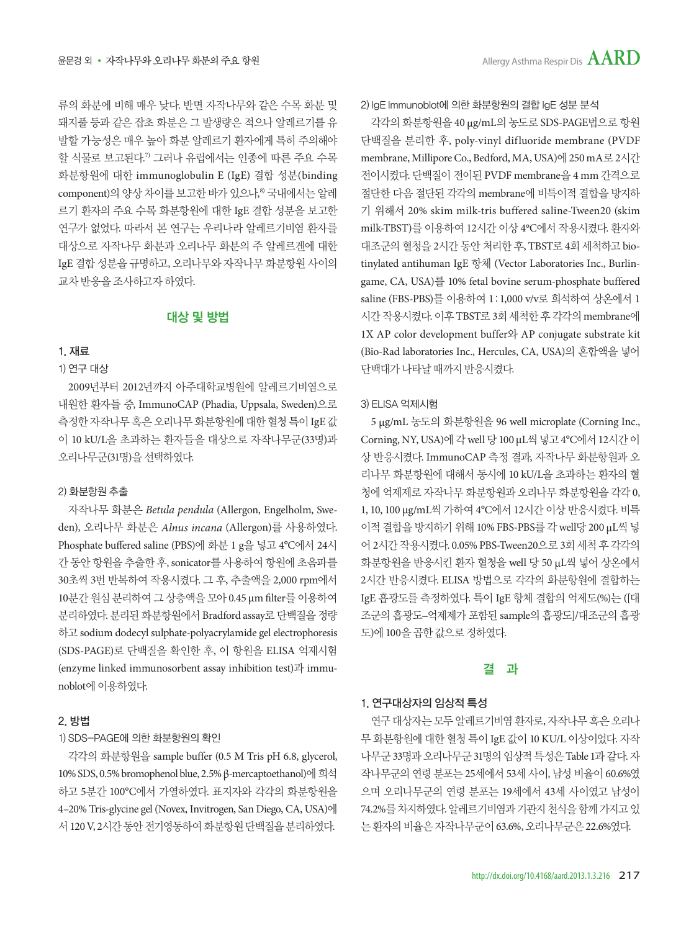류의 화분에 비해 매우 낮다. 반면 자작나무와 같은 수목 화분 및 돼지풀 등과 같은 잡초 화분은 그 발생량은 적으나 알레르기를 유 발할 가능성은 매우 높아 화분 알레르기 환자에게 특히 주의해야 할 식물로 보고된다. 7) 그러나 유럽에서는 인종에 따른 주요 수목 화분항원에 대한 immunoglobulin E (IgE) 결합 성분(binding component)의 양상 차이를 보고한 바가 있으나, 8) 국내에서는 알레 르기 환자의 주요 수목 화분항원에 대한 IgE 결합 성분을 보고한 연구가 없었다. 따라서 본 연구는 우리나라 알레르기비염 환자를 대상으로 자작나무 화분과 오리나무 화분의 주 알레르겐에 대한 IgE 결합 성분을 규명하고, 오리나무와 자작나무 화분항원 사이의 교차반응을조사하고자하였다.

#### 대상 및 방법

#### 1. 재료

#### 1) 연구 대상

2009년부터 2012년까지 아주대학교병원에 알레르기비염으로 내원한 환자들 중, ImmunoCAP (Phadia, Uppsala, Sweden)으로 측정한자작나무혹은오리나무화분항원에대한혈청특이 IgE 값 이 10 kU/L을 초과하는 환자들을 대상으로 자작나무군(33명)과 오리나무구(31명)을 선택하였다.

#### 2) 화분항원 추출

자작나무 화분은 *Betula pendula* (Allergon, Engelholm, Sweden), 오리나무 화분은 *Alnus incana* (Allergon)를 사용하였다. Phosphate buffered saline (PBS)에 화분 1 g을 넣고 4°C에서 24시 간 동안 항원을 추출한 후, sonicator를 사용하여 항원에 초음파를 30초씩 3번 반복하여 작용시켰다. 그 후, 추출액을 2,000 rpm에서 10분간 원심 분리하여 그 상층액을 모아 0.45 μm filter를 이용하여 분리하였다. 분리된 화분항원에서 Bradford assay로 단백질을 정량 하고 sodium dodecyl sulphate-polyacrylamide gel electrophoresis (SDS-PAGE)로 단백질을 확인한 후, 이 항원을 ELISA 억제시험 (enzyme linked immunosorbent assay inhibition test)과 immunoblot에이용하였다.

#### 2. 방법

#### 1) SDS-PAGE에 의한 화분항원의 확인

각각의 화분항원을 sample buffer (0.5 M Tris pH 6.8, glycerol, 10% SDS, 0.5% bromophenol blue, 2.5% β-mercaptoethanol)에희석 하고 5분간 100°C에서 가열하였다. 표지자와 각각의 화분항원을 4–20% Tris-glycine gel (Novex, Invitrogen, San Diego, CA, USA)에 서 120 V, 2시간 동안 전기영동하여 화부항원 다백질을 부리하였다.

2) IgE Immunoblot에 의한 화분항원의 결합 IgE 성분 분석

각각의 화분항원을 40 μg/mL의 농도로 SDS-PAGE법으로 항원 단백질을 분리한 후, poly-vinyl difluoride membrane (PVDF membrane, Millipore Co., Bedford, MA, USA)에 250 mA로 2시간 전이시켰다. 단백질이 전이된 PVDF membrane을 4 mm 간격으로 절단한 다음 절단된 각각의 membrane에 비특이적 결합을 방지하 기 위해서 20% skim milk-tris buffered saline-Tween20 (skim milk-TBST)를 이용하여 12시간 이상 4°C에서 작용시켰다. 환자와 대조군의 혈청을 2시간 동안 처리한 후, TBST로 4회 세척하고 biotinylated antihuman IgE 항체 (Vector Laboratories Inc., Burlingame, CA, USA)를 10% fetal bovine serum-phosphate buffered saline (FBS-PBS)를 이용하여 1:1,000 v/v로 희석하여 상온에서 1 시간 작용시켰다. 이후 TBST로 3회 세척한 후 각각의 membrane에 1X AP color development buffer와 AP conjugate substrate kit (Bio-Rad laboratories Inc., Hercules, CA, USA)의 혼합액을 넣어 단백대가나타날때까지반응시켰다.

#### 3) ELISA 억제시험

5 μg/mL 농도의 화분항원을 96 well microplate (Corning Inc., Corning, NY, USA)에 각 well 당 100 μL씩 넣고 4°C에서 12시간 이 상 반응시켰다. ImmunoCAP 측정 결과, 자작나무 화분항원과 오 리나무 화분항원에 대해서 동시에 10 kU/L을 초과하는 환자의 혈 청에 억제제로 자작나무 화분항원과 오리나무 화분항원을 각각 0, 1, 10, 100 μg/mL씩 가하여 4°C에서 12시간 이상 반응시켰다. 비특 이적 결합을 방지하기 위해 10% FBS-PBS를 각 well당 200 μL씩 넣 어 2시간 작용시켰다. 0.05% PBS-Tween20으로 3회 세척 후 각각의 화분항원을 반응시킨 환자 혈청을 well 당 50 μL씩 넣어 상온에서 2시간 반응시켰다. ELISA 방법으로 각각의 화분항원에 결합하는 IgE 흡광도를 측정하였다. 특이 IgE 항체 결합의 억제도(%)는 ([대 조군의 흡광도−억제제가 포함된 sample의 흡광도]/대조군의 흡광 도)에 100을곱한값으로정하였다.

#### 결 과

#### 1. 연구대상자의 임상적 특성

연구 대상자는 모두 알레르기비염 환자로, 자작나무 혹은 오리나 무 화분항원에 대한 혈청 특이 IgE 값이 10 KU/L 이상이었다. 자작 나무군 33명과오리나무군 31명의임상적특성은 Table 1과같다. 자 작나무군의 연령 분포는 25세에서 53세 사이, 남성 비율이 60.6%였 으며 오리나무군의 연령 분포는 19세에서 43세 사이였고 남성이 74.2%를 차지하였다. 알레르기비염과 기관지 천식을 함께 가지고 있 는환자의비율은자작나무군이 63.6%, 오리나무군은 22.6%였다.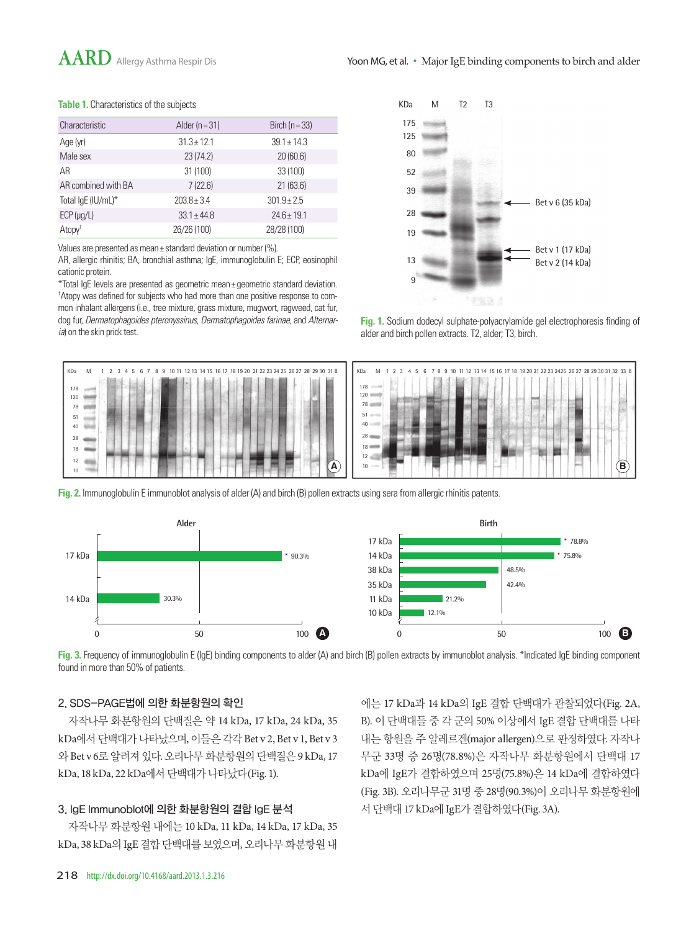## AARD Allergy Asthma Respir Dis Yoon MG, et al. • Major IgE binding components to birch and alder

#### **Table 1.** Characteristics of the subjects

| Characteristic      | Alder ( $n = 31$ ) | Birch ( $n = 33$ ) |
|---------------------|--------------------|--------------------|
| Age (yr)            | $31.3 \pm 12.1$    | $39.1 \pm 14.3$    |
| Male sex            | 23(74.2)           | 20(60.6)           |
| AR                  | 31 (100)           | 33 (100)           |
| AR combined with BA | 7(22.6)            | 21(63.6)           |
| Total IgE (IU/mL)*  | $203.8 \pm 3.4$    | $301.9 \pm 2.5$    |
| $ECP$ ( $\mu$ g/L)  | $33.1 + 44.8$      | $24.6 + 19.1$      |
| Atopy <sup>†</sup>  | 26/26 (100)        | 28/28 (100)        |

Values are presented as mean± standard deviation or number (%).

AR, allergic rhinitis; BA, bronchial asthma; IgE, immunoglobulin E; ECP, eosinophil cationic protein.

\*Total IgE levels are presented as geometric mean± geometric standard deviation. † Atopy was defined for subjects who had more than one positive response to common inhalant allergens (i.e., tree mixture, grass mixture, mugwort, ragweed, cat fur, dog fur, *Dermatophagoides pteronyssinus*, *Dermatophagoides farinae*, and *Alternaria*) on the skin prick test.



**Fig. 1.** Sodium dodecyl sulphate-polyacrylamide gel electrophoresis finding of alder and birch pollen extracts. T2, alder; T3, birch.



**Fig. 2.** Immunoglobulin E immunoblot analysis of alder (A) and birch (B) pollen extracts using sera from allergic rhinitis patents.



**Fig. 3.** Frequency of immunoglobulin E (IgE) binding components to alder (A) and birch (B) pollen extracts by immunoblot analysis. \*Indicated IgE binding component found in more than 50% of patients.

#### 2. SDS-PAGE법에 의한 화분항원의 확인

자작나무 화분항원의 단백질은 약 14 kDa, 17 kDa, 24 kDa, 35 kDa에서 단백대가 나타났으며, 이들은 각각 Bet v 2, Bet v 1, Bet v 3 와 Bet v 6로 알려져 있다. 오리나무 화분항원의 단백질은 9 kDa, 17 kDa, 18 kDa, 22 kDa에서 단백대가 나타났다(Fig. 1).

#### 3. IgE Immunoblot에 의한 화분항원의 결합 IgE 분석

자작나무 화분항원 내에는 10 kDa, 11 kDa, 14 kDa, 17 kDa, 35 kDa, 38 kDa의 IgE 결합 단백대를 보였으며, 오리나무 화분항원 내

에는 17 kDa과 14 kDa의 IgE 결합 단백대가 관찰되었다(Fig. 2A, B). 이 단백대들 중 각 군의 50% 이상에서 IgE 결합 단백대를 나타 내는 항원을 주 알레르겐(major allergen)으로 판정하였다. 자작나 무군 33명 중 26명(78.8%)은 자작나무 화분항원에서 단백대 17 kDa에 IgE가 결합하였으며 25명(75.8%)은 14 kDa에 결합하였다 (Fig. 3B). 오리나무군 31명 중 28명(90.3%)이 오리나무 화분항원에 서단백대 17 kDa에 IgE가결합하였다(Fig. 3A).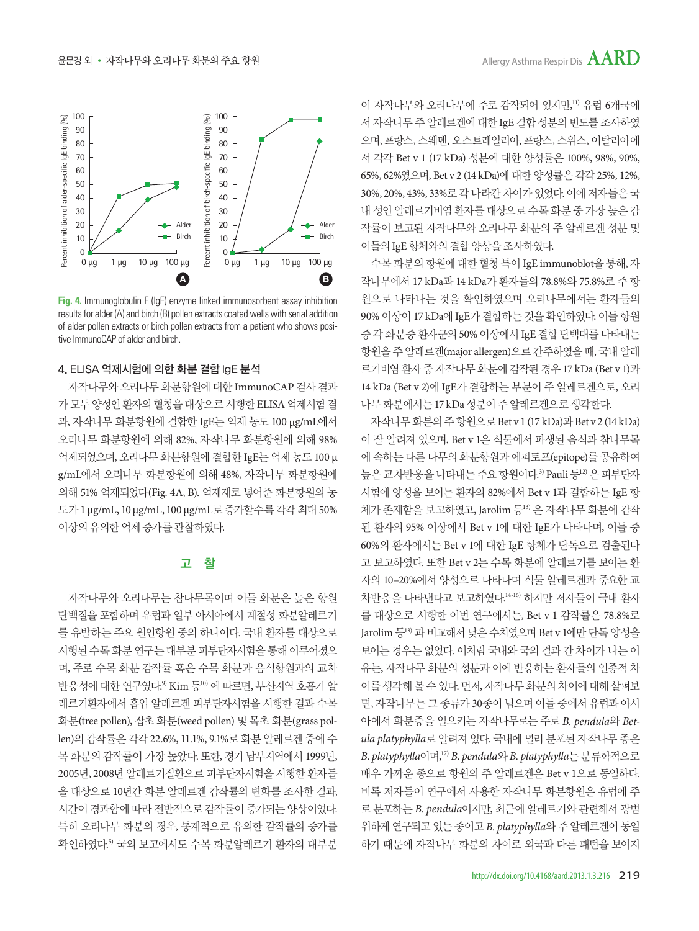

**Fig. 4.** Immunoglobulin E (IgE) enzyme linked immunosorbent assay inhibition results for alder (A) and birch (B) pollen extracts coated wells with serial addition of alder pollen extracts or birch pollen extracts from a patient who shows positive ImmunoCAP of alder and birch.

#### 4. ELISA 억제시험에 의한 화분 결합 IgE 분석

자작나무와 오리나무 화분항원에 대한 ImmunoCAP 검사 결과 가 모두 양성이 화자의 혈청을 대상으로 시행한 ELISA 억제시험 결 과, 자작나무 화분항원에 결합한 IgE는 억제 농도 100 μg/mL에서 오리나무 화분항원에 의해 82%, 자작나무 화분항원에 의해 98% 억제되었으며, 오리나무 화분항원에 결합한 IgE는 억제 농도 100 μ g/mL에서 오리나무 화분항원에 의해 48%, 자작나무 화분항원에 의해 51% 억제되었다(Fig. 4A, B). 억제제로 넣어준 화분항원의 농 도가 1 μg/mL, 10 μg/mL, 100 μg/mL로증가할수록각각최대 50% 이상의유의한억제증가를관찰하였다.

#### 고 찰

자작나무와 오리나무는 참나무목이며 이들 화분은 높은 항원 단백질을 포함하며 유럽과 일부 아시아에서 계절성 화분알레르기 를 유발하는 주요 원인항원 중의 하나이다. 국내 환자를 대상으로 시행된 수목 화분 연구는 대부분 피부단자시험을 통해 이루어졌으 며, 주로 수목 화분 감작률 혹은 수목 화분과 음식항원과의 교차 반응성에 대한 연구였다.º Kim 등"º 에 따르면, 부산지역 호흡기 알 레르기환자에서 흡입 알레르겐 피부단자시험을 시행한 결과 수목 화분(tree pollen), 잡초 화분(weed pollen) 및 목초 화분(grass pollen)의 감작률은 각각 22.6%, 11.1%, 9.1%로 화분 알레르겐 중에 수 목 화분의 감작률이 가장 높았다. 또한, 경기 남부지역에서 1999년, 2005년, 2008년 알레르기질환으로 피부단자시험을 시행한 환자들 을 대상으로 10년간 화분 알레르겐 감작률의 변화를 조사한 결과, 시간이 경과함에 따라 전반적으로 감작률이 증가되는 양상이었다. 특히 오리나무 화분의 경우, 통계적으로 유의한 감작률의 증가를 확인하였다. 5) 국외 보고에서도 수목 화분알레르기 환자의 대부분

이 자작나무와 오리나무에 주로 감작되어 있지만, 11) 유럽 6개국에 서 자작나무 주 알레르겐에 대한 IgE 결합 성분의 빈도를 조사하였 으며, 프랑스, 스웨덴, 오스트레일리아, 프랑스, 스위스, 이탈리아에 서 각각 Bet v 1 (17 kDa) 성분에 대한 양성률은 100%, 98%, 90%, 65%, 62%였으며, Bet v 2 (14 kDa)에 대한 양성률은 각각 25%, 12%, 30%, 20%, 43%, 33%로각나라간차이가있었다. 이에저자들은국 내 성인 알레르기비염 환자를 대상으로 수목 화분 중 가장 높은 감 작률이 보고된 자작나무와 오리나무 화분의 주 알레르겐 성분 및 이들의 IgE 항체와의결합양상을조사하였다.

수목 화분의 항원에 대한 혈청 특이 IgE immunoblot을 통해, 자 작나무에서 17 kDa과 14 kDa가 환자들의 78.8%와 75.8%로 주 항 원으로 나타나는 것을 확인하였으며 오리나무에서는 환자들의 90% 이상이 17 kDa에 IgE가 결합하는 것을 확인하였다. 이들 항원 중 각 화분증 환자군의 50% 이상에서 IgE 결합 단백대를 나타내는 항원을 주 알레르겐(major allergen)으로 간주하였을 때, 국내 알레 르기비염 환자 중 자작나무 화분에 감작된 경우 17 kDa (Bet v 1)과 14 kDa (Bet v 2)에 IgE가 결합하는 부분이 주 알레르겐으로, 오리 나무화분에서는 17 kDa 성분이주알레르겐으로생각한다.

자작나무화분의주항원으로 Bet v 1 (17 kDa)과 Bet v 2 (14 kDa) 이 잘 알려져 있으며, Bet v 1은 식물에서 파생된 음식과 참나무목 에 속하는 다른 나무의 화분항원과 에피토프(epitope)를 공유하여 높은 교차반응을 나타내는 주요 항원이다.<sup>3)</sup> Pauli 등<sup>12)</sup> 은 피부단자 시험에 양성을 보이는 환자의 82%에서 Bet v 1과 결합하는 IgE 항 체가 존재함을 보고하였고, Jarolim 등13) 은 자작나무 화분에 감작 된 환자의 95% 이상에서 Bet v 1에 대한 IgE가 나타나며, 이들 중 60%의 환자에서는 Bet v 1에 대한 IgE 항체가 단독으로 검출된다 고 보고하였다. 또한 Bet v 2는 수목 화분에 알레르기를 보이는 환 자의 10–20%에서 양성으로 나타나며 식물 알레르겐과 중요한 교 차반응을 나타낸다고 보고하였다. 14-16) 하지만 저자들이 국내 환자 를 대상으로 시행한 이번 연구에서는, Bet v 1 감작률은 78.8%로 Jarolim 등13) 과 비교해서 낮은 수치였으며 Bet v 1에만 단독 양성을 보이는 경우는 없었다. 이처럼 국내와 국외 결과 간 차이가 나는 이 유는, 자작나무 화분의 성분과 이에 반응하는 환자들의 인종적 차 이를생각해볼수있다. 먼저, 자작나무화분의차이에대해살펴보 면, 자작나무는 그 종류가 30종이 넘으며 이들 중에서 유럽과 아시 아에서 화분증을 일으키는 자작나무로는 주로 *B. pendula*와 *Betula platyphylla*로 알려져 있다. 국내에 널리 분포된 자작나무 종은 *B. platyphylla*이며, 17) *B. pendula*와*B. platyphylla*는분류학적으로 매우 가까운 종으로 항원의 주 알레르겐은 Bet v 1으로 동일하다. 비록 저자들이 연구에서 사용한 자작나무 화분항원은 유럽에 주 로 분포하는 *B. pendula*이지만, 최근에 알레르기와 관련해서 광범 위하게 연구되고 있는 종이고 *B. platyphylla*와 주 알레르겐이 동일 하기 때문에 자작나무 화분의 차이로 외국과 다른 패턴을 보이지